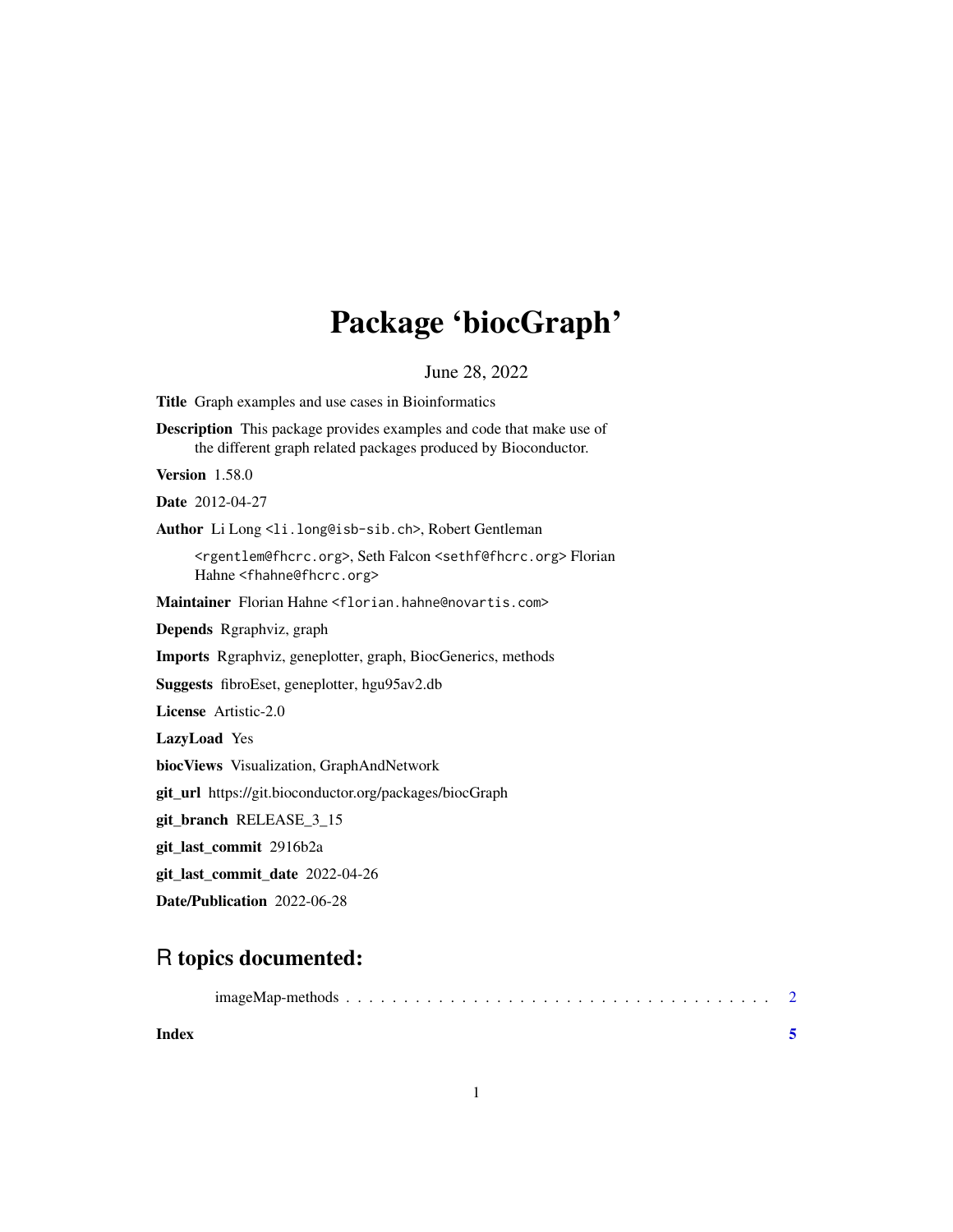## Package 'biocGraph'

June 28, 2022

<span id="page-0-0"></span>Title Graph examples and use cases in Bioinformatics

Description This package provides examples and code that make use of the different graph related packages produced by Bioconductor.

Version 1.58.0

Date 2012-04-27

Author Li Long <li.long@isb-sib.ch>, Robert Gentleman

<rgentlem@fhcrc.org>, Seth Falcon <sethf@fhcrc.org> Florian Hahne <fhahne@fhcrc.org>

Maintainer Florian Hahne <florian.hahne@novartis.com>

Depends Rgraphviz, graph

Imports Rgraphviz, geneplotter, graph, BiocGenerics, methods

Suggests fibroEset, geneplotter, hgu95av2.db

License Artistic-2.0

LazyLoad Yes

biocViews Visualization, GraphAndNetwork

git\_url https://git.bioconductor.org/packages/biocGraph

git\_branch RELEASE\_3\_15

git\_last\_commit 2916b2a

git\_last\_commit\_date 2022-04-26

Date/Publication 2022-06-28

### R topics documented:

|--|--|--|--|--|--|--|--|--|--|--|--|--|--|--|--|--|--|--|--|--|--|--|--|--|--|--|--|--|--|--|--|--|--|--|--|--|--|

**Index** [5](#page-4-0)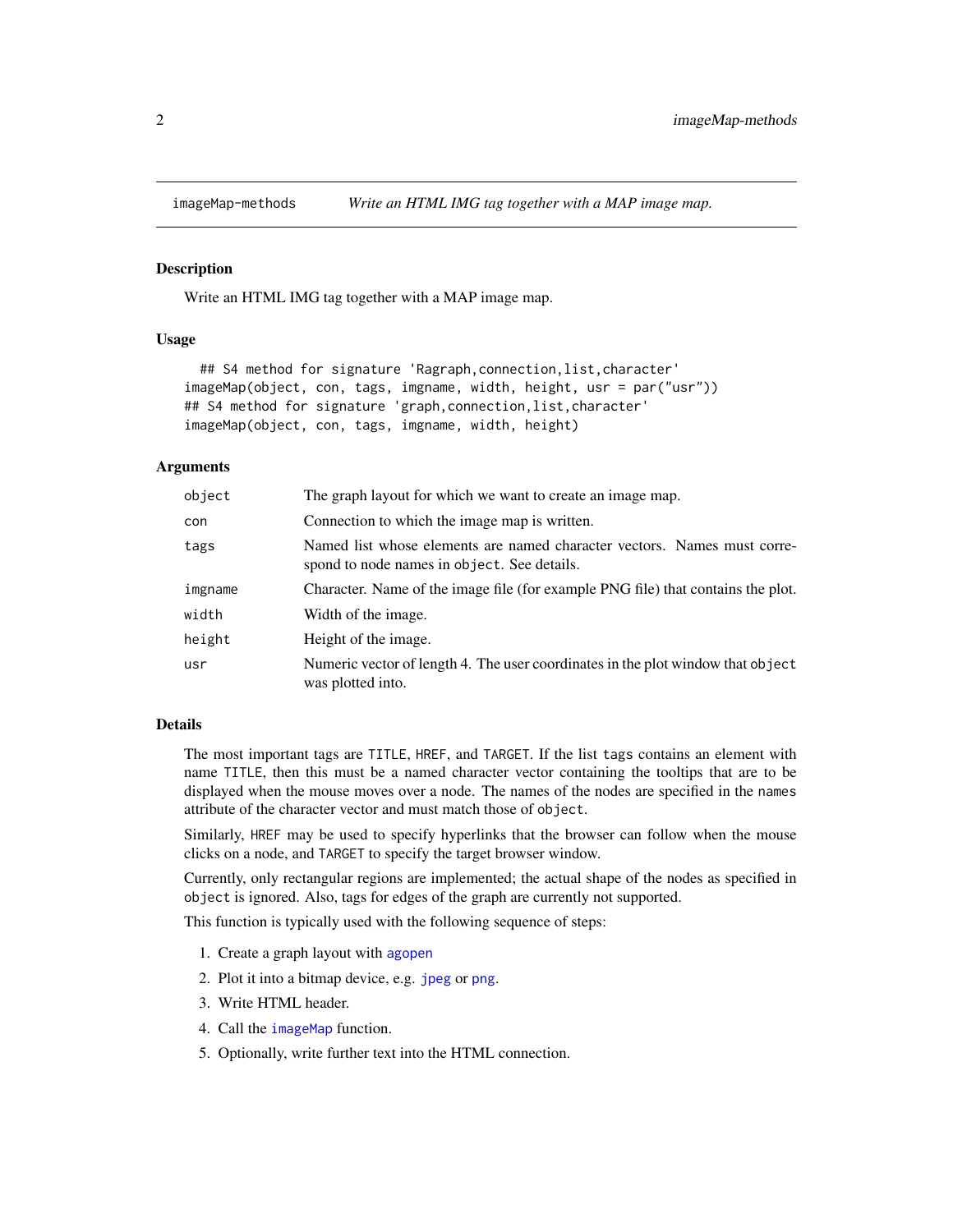<span id="page-1-0"></span>

#### <span id="page-1-1"></span>Description

Write an HTML IMG tag together with a MAP image map.

#### Usage

```
## S4 method for signature 'Ragraph, connection, list, character'
imageMap(object, con, tags, imgname, width, height, usr = par("usr"))
## S4 method for signature 'graph,connection,list,character'
imageMap(object, con, tags, imgname, width, height)
```
#### Arguments

| object  | The graph layout for which we want to create an image map.                                                              |
|---------|-------------------------------------------------------------------------------------------------------------------------|
| con     | Connection to which the image map is written.                                                                           |
| tags    | Named list whose elements are named character vectors. Names must corre-<br>spond to node names in object. See details. |
| imgname | Character. Name of the image file (for example PNG file) that contains the plot.                                        |
| width   | Width of the image.                                                                                                     |
| height  | Height of the image.                                                                                                    |
| usr     | Numeric vector of length 4. The user coordinates in the plot window that object<br>was plotted into.                    |

#### **Details**

The most important tags are TITLE, HREF, and TARGET. If the list tags contains an element with name TITLE, then this must be a named character vector containing the tooltips that are to be displayed when the mouse moves over a node. The names of the nodes are specified in the names attribute of the character vector and must match those of object.

Similarly, HREF may be used to specify hyperlinks that the browser can follow when the mouse clicks on a node, and TARGET to specify the target browser window.

Currently, only rectangular regions are implemented; the actual shape of the nodes as specified in object is ignored. Also, tags for edges of the graph are currently not supported.

This function is typically used with the following sequence of steps:

- 1. Create a graph layout with [agopen](#page-0-0)
- 2. Plot it into a bitmap device, e.g. [jpeg](#page-0-0) or [png](#page-0-0).
- 3. Write HTML header.
- 4. Call the [imageMap](#page-1-1) function.
- 5. Optionally, write further text into the HTML connection.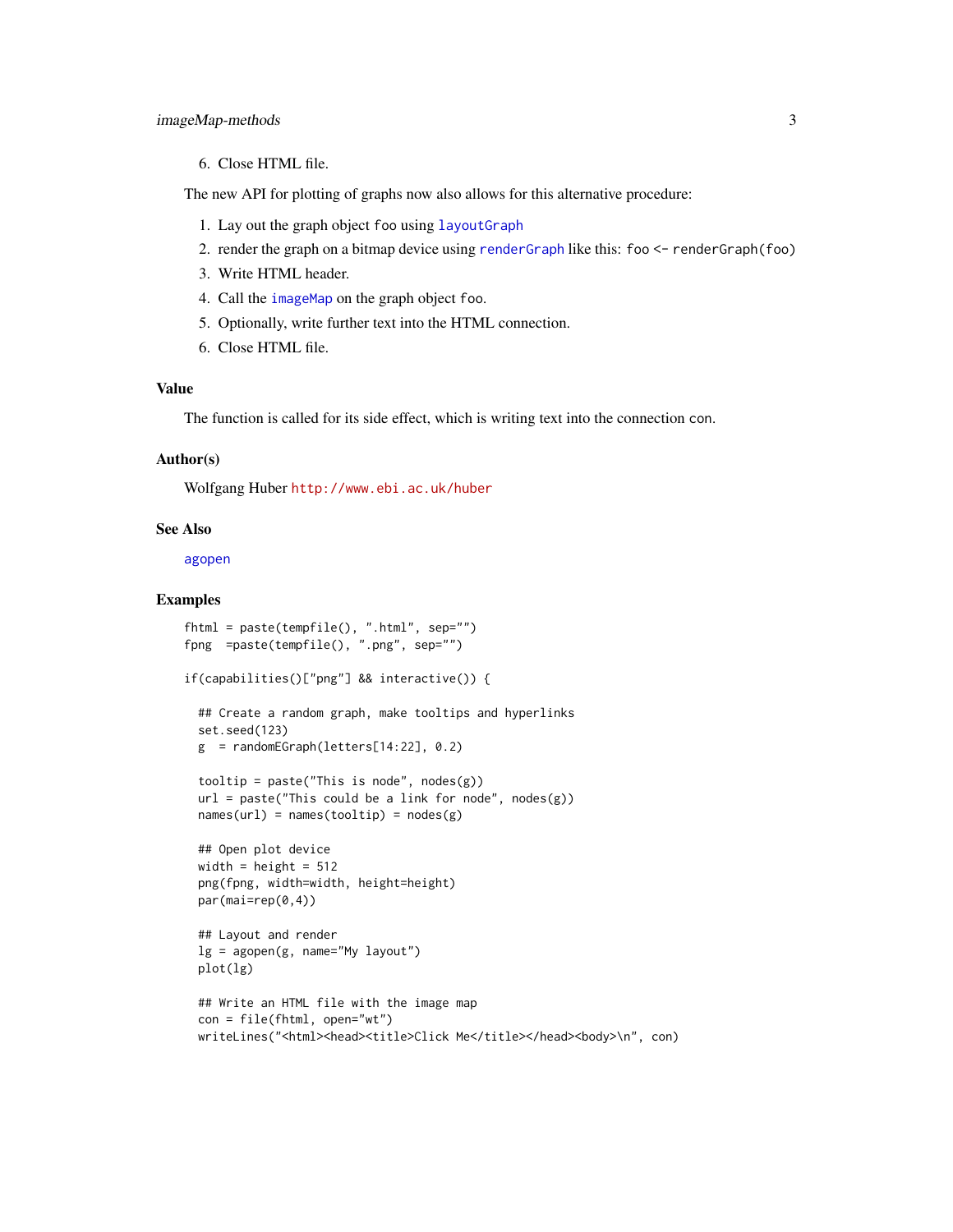#### <span id="page-2-0"></span>imageMap-methods 3

#### 6. Close HTML file.

The new API for plotting of graphs now also allows for this alternative procedure:

- 1. Lay out the graph object foo using [layoutGraph](#page-0-0)
- 2. render the graph on a bitmap device using [renderGraph](#page-0-0) like this: foo <- renderGraph(foo)
- 3. Write HTML header.
- 4. Call the [imageMap](#page-1-1) on the graph object foo.
- 5. Optionally, write further text into the HTML connection.
- 6. Close HTML file.

#### Value

The function is called for its side effect, which is writing text into the connection con.

#### Author(s)

Wolfgang Huber <http://www.ebi.ac.uk/huber>

#### See Also

[agopen](#page-0-0)

#### Examples

```
fhtml = paste(tempfile(), ".html", sep="")
fpng =paste(tempfile(), ".png", sep="")
if(capabilities()["png"] && interactive()) {
 ## Create a random graph, make tooltips and hyperlinks
 set.seed(123)
 g = randomEGraph(letters[14:22], 0.2)tooltip = paste("This is node", nodes(g))
 url = paste("This could be a link for node", nodes(g))
 names(url) = names(tooltip) = nodes(g)## Open plot device
 width = height = 512png(fpng, width=width, height=height)
 par(mai=rep(0,4))
 ## Layout and render
 lg = agopen(g, name="My layout")plot(lg)
 ## Write an HTML file with the image map
 con = file(fhtml, open="wt")
 writeLines("<html><head><title>Click Me</title></head><body>\n", con)
```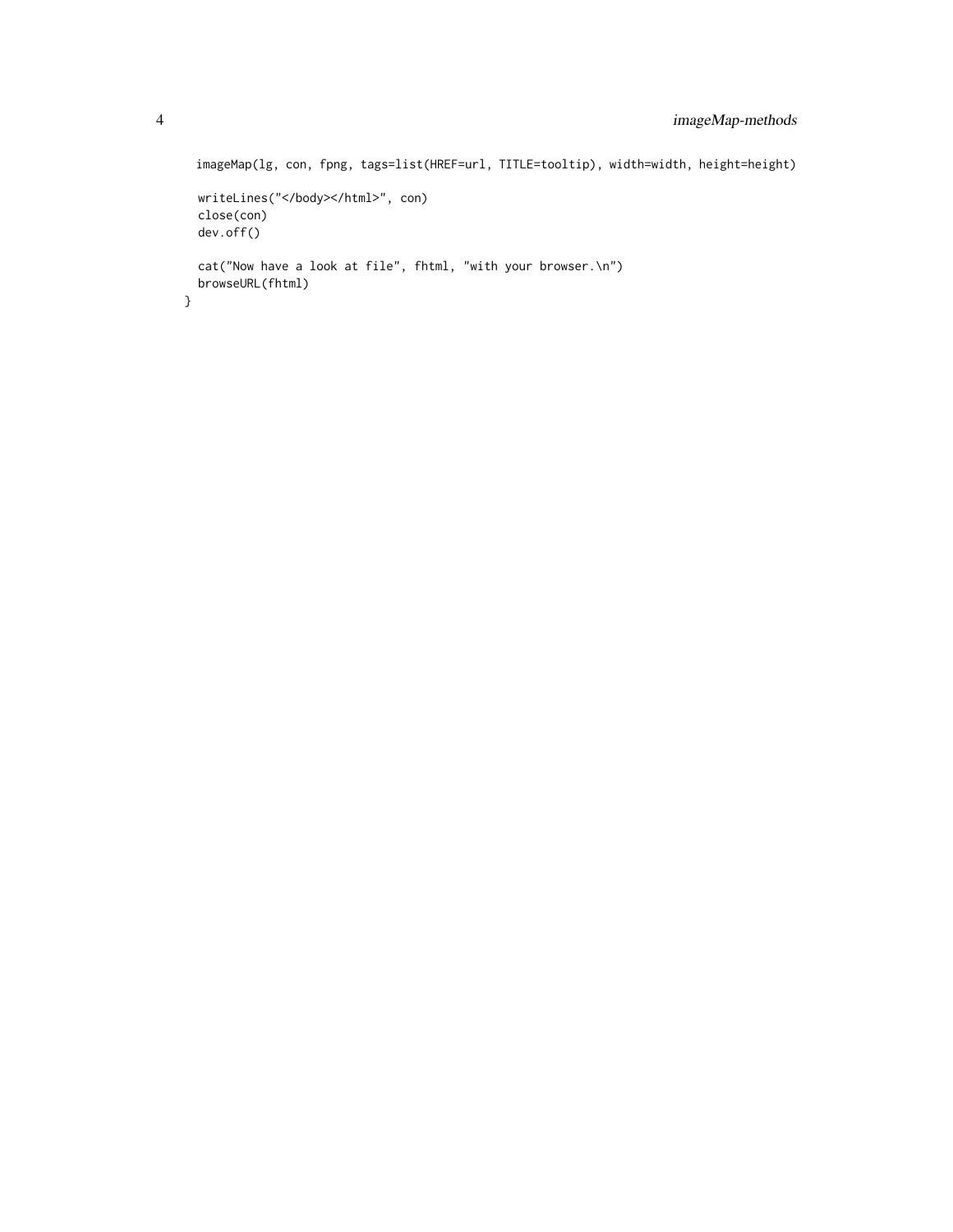```
imageMap(lg, con, fpng, tags=list(HREF=url, TITLE=tooltip), width=width, height=height)
 writeLines("</body></html>", con)
 close(con)
 dev.off()
 cat("Now have a look at file", fhtml, "with your browser.\n")
  browseURL(fhtml)
}
```